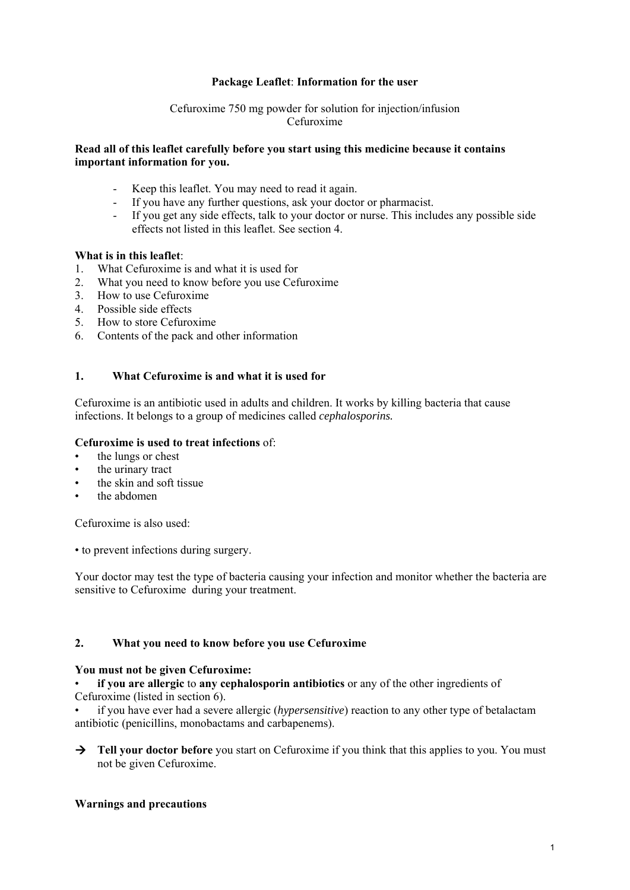## **Package Leaflet**: **Information for the user**

## Cefuroxime 750 mg powder for solution for injection/infusion Cefuroxime

### **Read all of this leaflet carefully before you start using this medicine because it contains important information for you.**

- Keep this leaflet. You may need to read it again.
- If you have any further questions, ask your doctor or pharmacist.
- If you get any side effects, talk to your doctor or nurse. This includes any possible side effects not listed in this leaflet. See section 4.

### **What is in this leaflet**:

- 1. What Cefuroxime is and what it is used for
- 2. What you need to know before you use Cefuroxime
- 3. How to use Cefuroxime
- 4. Possible side effects
- 5. How to store Cefuroxime
- 6. Contents of the pack and other information

# **1. What Cefuroxime is and what it is used for**

Cefuroxime is an antibiotic used in adults and children. It works by killing bacteria that cause infections. It belongs to a group of medicines called *cephalosporins.* 

## **Cefuroxime is used to treat infections** of:

- the lungs or chest
- the urinary tract
- the skin and soft tissue
- the abdomen

Cefuroxime is also used:

• to prevent infections during surgery.

Your doctor may test the type of bacteria causing your infection and monitor whether the bacteria are sensitive to Cefuroxime during your treatment.

# **2. What you need to know before you use Cefuroxime**

### **You must not be given Cefuroxime:**

• **if you are allergic** to **any cephalosporin antibiotics** or any of the other ingredients of Cefuroxime (listed in section 6).

• if you have ever had a severe allergic (*hypersensitive*) reaction to any other type of betalactam antibiotic (penicillins, monobactams and carbapenems).

**Tell your doctor before** you start on Cefuroxime if you think that this applies to you. You must not be given Cefuroxime.

# **Warnings and precautions**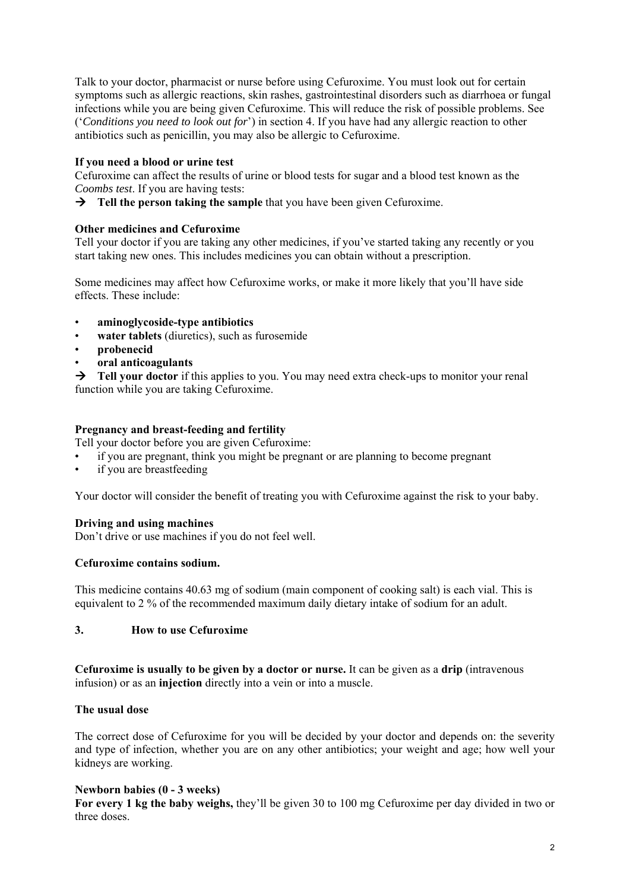Talk to your doctor, pharmacist or nurse before using Cefuroxime. You must look out for certain symptoms such as allergic reactions, skin rashes, gastrointestinal disorders such as diarrhoea or fungal infections while you are being given Cefuroxime. This will reduce the risk of possible problems. See ('*Conditions you need to look out for*') in section 4. If you have had any allergic reaction to other antibiotics such as penicillin, you may also be allergic to Cefuroxime.

## **If you need a blood or urine test**

Cefuroxime can affect the results of urine or blood tests for sugar and a blood test known as the *Coombs test*. If you are having tests:

**Tell the person taking the sample** that you have been given Cefuroxime.

## **Other medicines and Cefuroxime**

Tell your doctor if you are taking any other medicines, if you've started taking any recently or you start taking new ones. This includes medicines you can obtain without a prescription.

Some medicines may affect how Cefuroxime works, or make it more likely that you'll have side effects. These include:

- **aminoglycoside-type antibiotics**
- water tablets (diuretics), such as furosemide
- **probenecid**
- **oral anticoagulants**

**Tell your doctor** if this applies to you. You may need extra check-ups to monitor your renal function while you are taking Cefuroxime.

## **Pregnancy and breast-feeding and fertility**

Tell your doctor before you are given Cefuroxime:

- if you are pregnant, think you might be pregnant or are planning to become pregnant
- if you are breastfeeding

Your doctor will consider the benefit of treating you with Cefuroxime against the risk to your baby.

### **Driving and using machines**

Don't drive or use machines if you do not feel well.

### **Cefuroxime contains sodium.**

This medicine contains 40.63 mg of sodium (main component of cooking salt) is each vial. This is equivalent to 2 % of the recommended maximum daily dietary intake of sodium for an adult.

## **3. How to use Cefuroxime**

**Cefuroxime is usually to be given by a doctor or nurse.** It can be given as a **drip** (intravenous infusion) or as an **injection** directly into a vein or into a muscle.

### **The usual dose**

The correct dose of Cefuroxime for you will be decided by your doctor and depends on: the severity and type of infection, whether you are on any other antibiotics; your weight and age; how well your kidneys are working.

### **Newborn babies (0 - 3 weeks)**

**For every 1 kg the baby weighs,** they'll be given 30 to 100 mg Cefuroxime per day divided in two or three doses.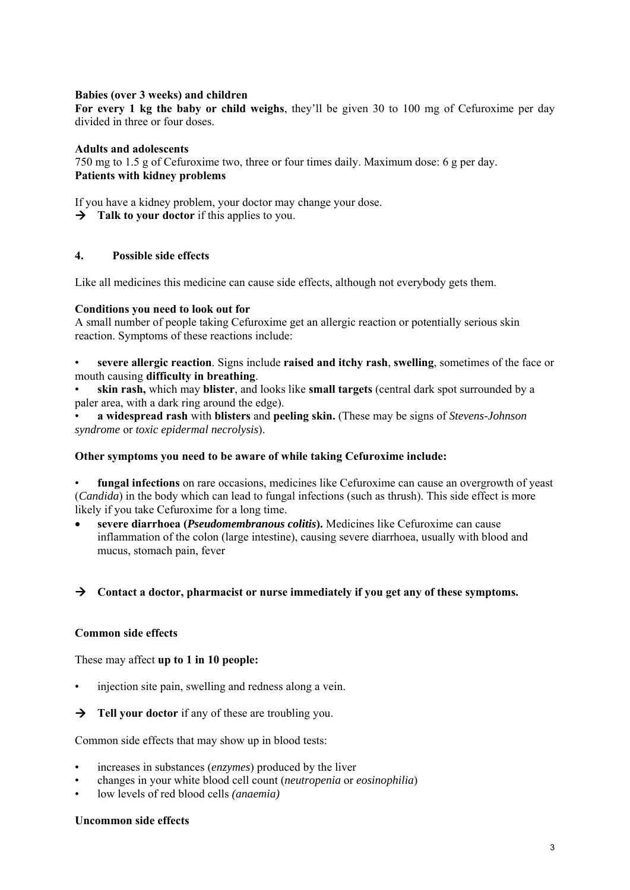## **Babies (over 3 weeks) and children**

**For every 1 kg the baby or child weighs**, they'll be given 30 to 100 mg of Cefuroxime per day divided in three or four doses.

## **Adults and adolescents**

750 mg to 1.5 g of Cefuroxime two, three or four times daily. Maximum dose: 6 g per day. **Patients with kidney problems** 

If you have a kidney problem, your doctor may change your dose. **Talk to your doctor** if this applies to you.

# **4. Possible side effects**

Like all medicines this medicine can cause side effects, although not everybody gets them.

## **Conditions you need to look out for**

A small number of people taking Cefuroxime get an allergic reaction or potentially serious skin reaction. Symptoms of these reactions include:

• **severe allergic reaction**. Signs include **raised and itchy rash**, **swelling**, sometimes of the face or mouth causing **difficulty in breathing**.

• **skin rash,** which may **blister**, and looks like **small targets** (central dark spot surrounded by a paler area, with a dark ring around the edge).

• **a widespread rash** with **blisters** and **peeling skin.** (These may be signs of *Stevens-Johnson syndrome* or *toxic epidermal necrolysis*).

### **Other symptoms you need to be aware of while taking Cefuroxime include:**

• **fungal infections** on rare occasions, medicines like Cefuroxime can cause an overgrowth of yeast (*Candida*) in the body which can lead to fungal infections (such as thrush). This side effect is more likely if you take Cefuroxime for a long time.

 **severe diarrhoea (***Pseudomembranous colitis***).** Medicines like Cefuroxime can cause inflammation of the colon (large intestine), causing severe diarrhoea, usually with blood and mucus, stomach pain, fever

 **Contact a doctor, pharmacist or nurse immediately if you get any of these symptoms.** 

## **Common side effects**

These may affect **up to 1 in 10 people:** 

- injection site pain, swelling and redness along a vein.
- **Tell your doctor** if any of these are troubling you.

Common side effects that may show up in blood tests:

- increases in substances (*enzymes*) produced by the liver
- changes in your white blood cell count (*neutropenia* or *eosinophilia*)
- low levels of red blood cells *(anaemia)*

### **Uncommon side effects**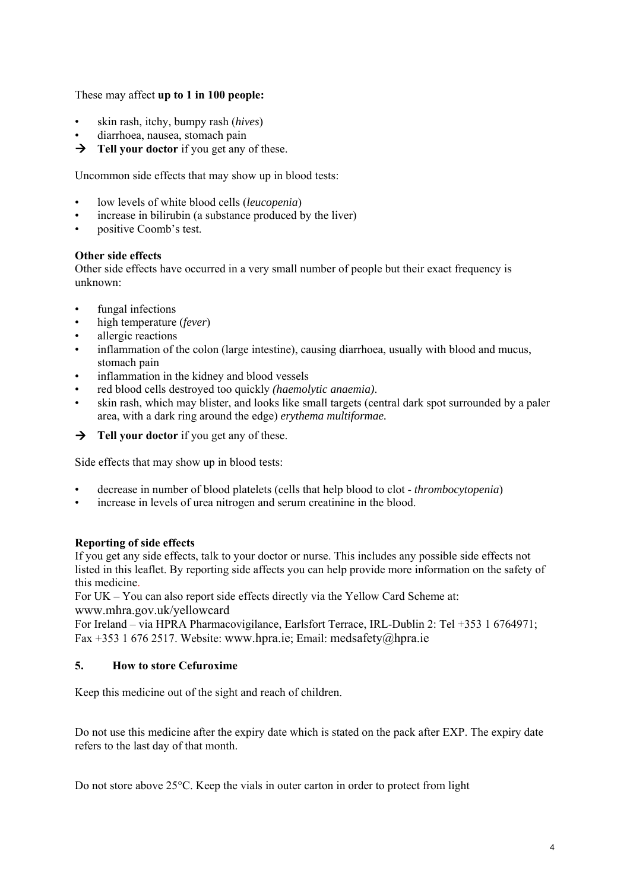These may affect **up to 1 in 100 people:** 

- skin rash, itchy, bumpy rash (*hives*)
- diarrhoea, nausea, stomach pain
- **Tell your doctor** if you get any of these.

Uncommon side effects that may show up in blood tests:

- low levels of white blood cells (*leucopenia*)
- increase in bilirubin (a substance produced by the liver)
- positive Coomb's test.

## **Other side effects**

Other side effects have occurred in a very small number of people but their exact frequency is unknown:

- fungal infections
- high temperature (*fever*)
- allergic reactions
- inflammation of the colon (large intestine), causing diarrhoea, usually with blood and mucus, stomach pain
- inflammation in the kidney and blood vessels
- red blood cells destroyed too quickly *(haemolytic anaemia)*.
- skin rash, which may blister, and looks like small targets (central dark spot surrounded by a paler area, with a dark ring around the edge) *erythema multiformae.*
- **Tell your doctor** if you get any of these.

Side effects that may show up in blood tests:

- decrease in number of blood platelets (cells that help blood to clot *thrombocytopenia*)
- increase in levels of urea nitrogen and serum creatinine in the blood.

# **Reporting of side effects**

If you get any side effects, talk to your doctor or nurse. This includes any possible side effects not listed in this leaflet. By reporting side affects you can help provide more information on the safety of this medicine.

For UK – You can also report side effects directly via the Yellow Card Scheme at: www.mhra.gov.uk/yellowcard

For Ireland – via HPRA Pharmacovigilance, Earlsfort Terrace, IRL-Dublin 2: Tel +353 1 6764971; Fax +353 1 676 2517. Website: www.hpra.ie; Email: medsafety@hpra.ie

# **5. How to store Cefuroxime**

Keep this medicine out of the sight and reach of children.

Do not use this medicine after the expiry date which is stated on the pack after EXP. The expiry date refers to the last day of that month.

Do not store above 25°C. Keep the vials in outer carton in order to protect from light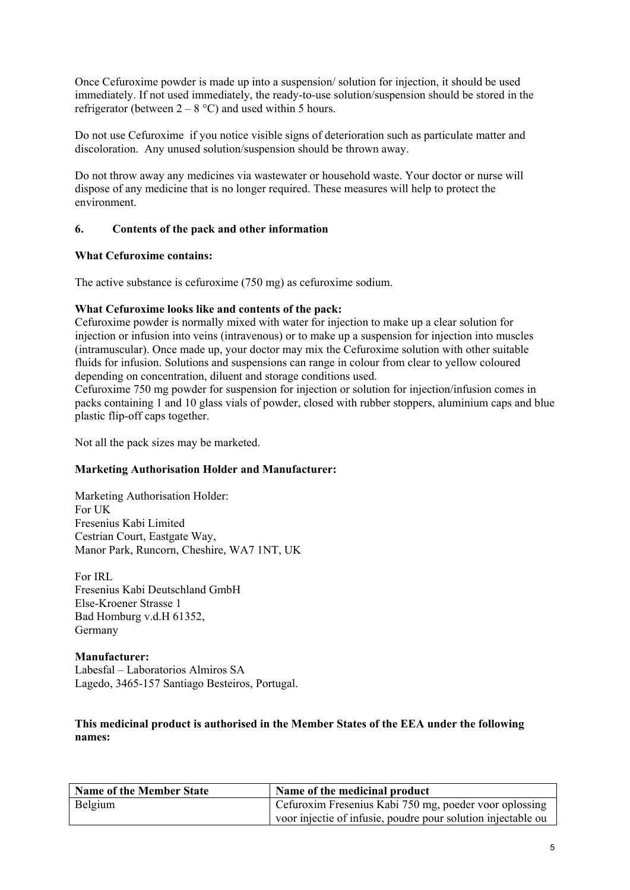Once Cefuroxime powder is made up into a suspension/ solution for injection, it should be used immediately. If not used immediately, the ready-to-use solution/suspension should be stored in the refrigerator (between  $2 - 8$  °C) and used within 5 hours.

Do not use Cefuroxime if you notice visible signs of deterioration such as particulate matter and discoloration. Any unused solution/suspension should be thrown away.

Do not throw away any medicines via wastewater or household waste. Your doctor or nurse will dispose of any medicine that is no longer required. These measures will help to protect the environment.

## **6. Contents of the pack and other information**

## **What Cefuroxime contains:**

The active substance is cefuroxime (750 mg) as cefuroxime sodium.

## **What Cefuroxime looks like and contents of the pack:**

Cefuroxime powder is normally mixed with water for injection to make up a clear solution for injection or infusion into veins (intravenous) or to make up a suspension for injection into muscles (intramuscular). Once made up, your doctor may mix the Cefuroxime solution with other suitable fluids for infusion. Solutions and suspensions can range in colour from clear to yellow coloured depending on concentration, diluent and storage conditions used.

Cefuroxime 750 mg powder for suspension for injection or solution for injection/infusion comes in packs containing 1 and 10 glass vials of powder, closed with rubber stoppers, aluminium caps and blue plastic flip-off caps together.

Not all the pack sizes may be marketed.

# **Marketing Authorisation Holder and Manufacturer:**

Marketing Authorisation Holder: For UK Fresenius Kabi Limited Cestrian Court, Eastgate Way, Manor Park, Runcorn, Cheshire, WA7 1NT, UK

For IRL Fresenius Kabi Deutschland GmbH Else-Kroener Strasse 1 Bad Homburg v.d.H 61352, Germany

### **Manufacturer:**

Labesfal – Laboratorios Almiros SA Lagedo, 3465-157 Santiago Besteiros, Portugal.

## **This medicinal product is authorised in the Member States of the EEA under the following names:**

| <b>Name of the Member State</b> | Name of the medicinal product                                |
|---------------------------------|--------------------------------------------------------------|
| Belgium                         | Cefuroxim Fresenius Kabi 750 mg, poeder voor oplossing       |
|                                 | voor injectie of infusie, poudre pour solution injectable ou |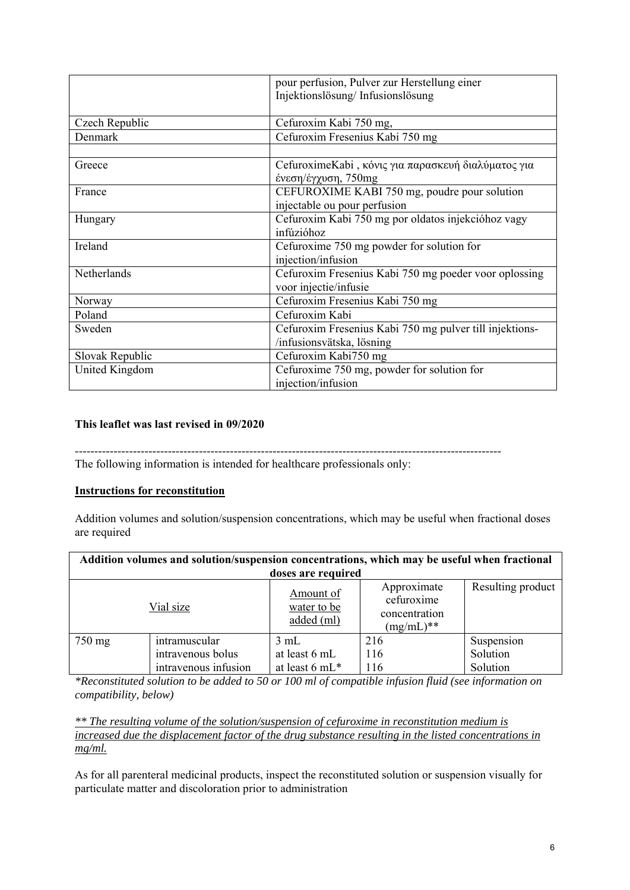|                 | pour perfusion, Pulver zur Herstellung einer<br>Injektionslösung/Infusionslösung |  |  |
|-----------------|----------------------------------------------------------------------------------|--|--|
| Czech Republic  | Cefuroxim Kabi 750 mg,                                                           |  |  |
| Denmark         | Cefuroxim Fresenius Kabi 750 mg                                                  |  |  |
|                 |                                                                                  |  |  |
| Greece          | CefuroximeKabi, κόνις για παρασκευή διαλύματος για                               |  |  |
|                 | ένεση/έγχυση, 750mg                                                              |  |  |
| France          | CEFUROXIME KABI 750 mg, poudre pour solution                                     |  |  |
|                 | injectable ou pour perfusion                                                     |  |  |
| Hungary         | Cefuroxim Kabi 750 mg por oldatos injekcióhoz vagy                               |  |  |
|                 | infúzióhoz                                                                       |  |  |
| Ireland         | Cefuroxime 750 mg powder for solution for                                        |  |  |
|                 | injection/infusion                                                               |  |  |
| Netherlands     | Cefuroxim Fresenius Kabi 750 mg poeder voor oplossing                            |  |  |
|                 | voor injectie/infusie                                                            |  |  |
| Norway          | Cefuroxim Fresenius Kabi 750 mg                                                  |  |  |
| Poland          | Cefuroxim Kabi                                                                   |  |  |
| Sweden          | Cefuroxim Fresenius Kabi 750 mg pulver till injektions-                          |  |  |
|                 | /infusionsvätska, lösning                                                        |  |  |
| Slovak Republic | Cefuroxim Kabi750 mg                                                             |  |  |
| United Kingdom  | Cefuroxime 750 mg, powder for solution for                                       |  |  |
|                 | injection/infusion                                                               |  |  |

# **This leaflet was last revised in 09/2020**

--------------------------------------------------------------------------------------------------------------

The following information is intended for healthcare professionals only:

### **Instructions for reconstitution**

Addition volumes and solution/suspension concentrations, which may be useful when fractional doses are required

| Addition volumes and solution/suspension concentrations, which may be useful when fractional |                                                            |                                         |                                                           |                                    |  |  |
|----------------------------------------------------------------------------------------------|------------------------------------------------------------|-----------------------------------------|-----------------------------------------------------------|------------------------------------|--|--|
| doses are required                                                                           |                                                            |                                         |                                                           |                                    |  |  |
|                                                                                              | Vial size                                                  | Amount of<br>water to be<br>added (ml)  | Approximate<br>cefuroxime<br>concentration<br>$(mg/mL)**$ | Resulting product                  |  |  |
| 750 mg                                                                                       | intramuscular<br>intravenous bolus<br>intravenous infusion | 3 mL<br>at least 6 mL<br>at least 6 mL* | 216<br>116<br>116                                         | Suspension<br>Solution<br>Solution |  |  |

*\*Reconstituted solution to be added to 50 or 100 ml of compatible infusion fluid (see information on compatibility, below)* 

*\*\* The resulting volume of the solution/suspension of cefuroxime in reconstitution medium is increased due the displacement factor of the drug substance resulting in the listed concentrations in mg/ml.* 

As for all parenteral medicinal products, inspect the reconstituted solution or suspension visually for particulate matter and discoloration prior to administration